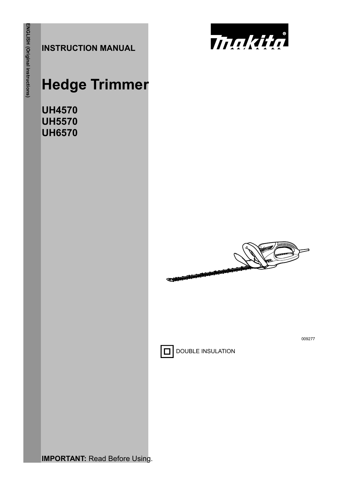**INSTRUCTION MANUAL**



# **Hedge Trimmer**

**UH4570 UH5570 UH6570** 



009277



**DOUBLE INSULATION** 

**IMPORTANT: Read Before Using.**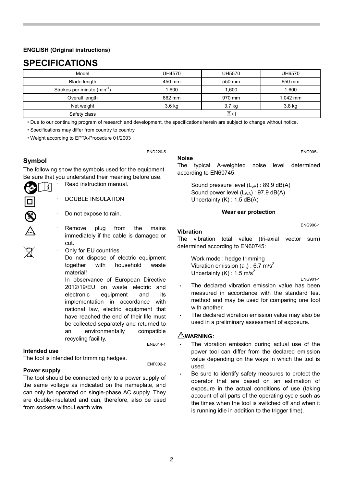#### **ENGLISH (Original instructions)**

## **SPECIFICATIONS**

| Model                                   | UH4570     | UH5570 | UH6570     |
|-----------------------------------------|------------|--------|------------|
| Blade length                            | 450 mm     | 550 mm | 650 mm     |
| Strokes per minute (min <sup>-1</sup> ) | 1.600      | 1.600  | 1.600      |
| Overall length                          | 862 mm     | 970 mm | $1.042$ mm |
| Net weight                              | 3.6 kg     | 3.7 kg | 3.8 kg     |
| Safety class                            | $\Box$ /II |        |            |

• Due to our continuing program of research and development, the specifications herein are subject to change without notice.

END220-5

• Specifications may differ from country to country.

• Weight according to EPTA-Procedure 01/2003

#### **Symbol**

D &

Ã

The following show the symbols used for the equipment. Be sure that you understand their meaning before use.

> Read instruction manual. li

- DOUBLE INSULATION
- Do not expose to rain.
- Remove plug from the mains immediately if the cable is damaged or cut.
- Only for EU countries

Do not dispose of electric equipment together with household waste material!

In observance of European Directive 2012/19/EU on waste electric and electronic equipment and its implementation in accordance with national law, electric equipment that have reached the end of their life must be collected separately and returned to an environmentally compatible recycling facility.<br>
ENE014-1

#### **Intended use**

The tool is intended for trimming hedges.<br> $E = 22.5$ 

#### **Power supply**

The tool should be connected only to a power supply of the same voltage as indicated on the nameplate, and can only be operated on single-phase AC supply. They are double-insulated and can, therefore, also be used from sockets without earth wire.

#### **Noise**

ENG905-1

The typical A-weighted noise level determined according to EN60745:

Sound pressure level  $(L_{pA})$ : 89.9 dB(A) Sound power level (L<sub>WA</sub>) : 97.9 dB(A) Uncertainty (K) : 1.5 dB(A)

#### **Wear ear protection**

#### **Vibration**

The vibration total value (tri-axial vector sum) determined according to EN60745:

Work mode : hedge trimming Vibration emission  $(a_h)$  : 6.7 m/s<sup>2</sup> Uncertainty (K) :  $1.5 \text{ m/s}^2$ 

ENG901-1

ENG900-1

- The declared vibration emission value has been measured in accordance with the standard test method and may be used for comparing one tool with another.
- The declared vibration emission value may also be used in a preliminary assessment of exposure.

#### **WARNING:**

- The vibration emission during actual use of the power tool can differ from the declared emission value depending on the ways in which the tool is used.
- Be sure to identify safety measures to protect the operator that are based on an estimation of exposure in the actual conditions of use (taking account of all parts of the operating cycle such as the times when the tool is switched off and when it is running idle in addition to the trigger time).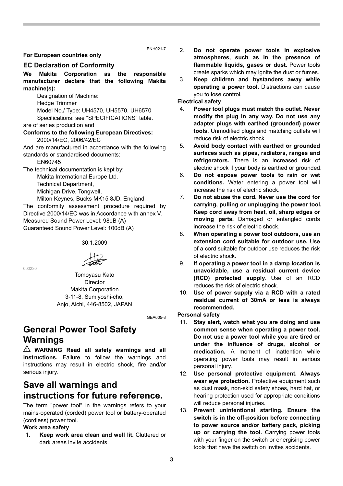ENH021-7

#### **For European countries only**

#### **EC Declaration of Conformity**

**We Makita Corporation as the responsible manufacturer declare that the following Makita machine(s):** 

Designation of Machine:

Hedge Trimmer

Model No./ Type: UH4570, UH5570, UH6570 Specifications: see "SPECIFICATIONS" table.

are of series production and

## **Conforms to the following European Directives:**

2000/14/EC, 2006/42/EC

And are manufactured in accordance with the following standards or standardised documents:

EN60745

The technical documentation is kept by:

Makita International Europe Ltd.

Technical Department,

Michigan Drive, Tongwell,

Milton Keynes, Bucks MK15 8JD, England

The conformity assessment procedure required by Directive 2000/14/EC was in Accordance with annex V. Measured Sound Power Level: 98dB (A) Guaranteed Sound Power Level: 100dB (A)

30.1.2009

000230

Tomoyasu Kato Director

Makita Corporation 3-11-8, Sumiyoshi-cho, Anjo, Aichi, 446-8502, JAPAN

GEA005-3

## **General Power Tool Safety Warnings**

**WARNING Read all safety warnings and all instructions.** Failure to follow the warnings and instructions may result in electric shock, fire and/or serious injury.

## **Save all warnings and instructions for future reference.**

The term "power tool" in the warnings refers to your mains-operated (corded) power tool or battery-operated (cordless) power tool.

#### **Work area safety**

1. **Keep work area clean and well lit.** Cluttered or dark areas invite accidents.

- 2. **Do not operate power tools in explosive atmospheres, such as in the presence of flammable liquids, gases or dust.** Power tools create sparks which may ignite the dust or fumes.
- 3. **Keep children and bystanders away while operating a power tool.** Distractions can cause you to lose control.

#### **Electrical safety**

- 4. **Power tool plugs must match the outlet. Never modify the plug in any way. Do not use any adapter plugs with earthed (grounded) power tools.** Unmodified plugs and matching outlets will reduce risk of electric shock.
- 5. **Avoid body contact with earthed or grounded surfaces such as pipes, radiators, ranges and refrigerators.** There is an increased risk of electric shock if your body is earthed or grounded.
- 6. **Do not expose power tools to rain or wet conditions.** Water entering a power tool will increase the risk of electric shock.
- 7. **Do not abuse the cord. Never use the cord for carrying, pulling or unplugging the power tool. Keep cord away from heat, oil, sharp edges or moving parts.** Damaged or entangled cords increase the risk of electric shock.
- 8. **When operating a power tool outdoors, use an extension cord suitable for outdoor use.** Use of a cord suitable for outdoor use reduces the risk of electric shock.
- 9. **If operating a power tool in a damp location is unavoidable, use a residual current device (RCD) protected supply.** Use of an RCD reduces the risk of electric shock.
- 10. **Use of power supply via a RCD with a rated residual current of 30mA or less is always recommended.**

#### **Personal safety**

- 11. **Stay alert, watch what you are doing and use common sense when operating a power tool. Do not use a power tool while you are tired or under the influence of drugs, alcohol or medication.** A moment of inattention while operating power tools may result in serious personal injury.
- 12. **Use personal protective equipment. Always wear eye protection.** Protective equipment such as dust mask, non-skid safety shoes, hard hat, or hearing protection used for appropriate conditions will reduce personal injuries.
- 13. **Prevent unintentional starting. Ensure the switch is in the off-position before connecting to power source and/or battery pack, picking up or carrying the tool.** Carrying power tools with your finger on the switch or energising power tools that have the switch on invites accidents.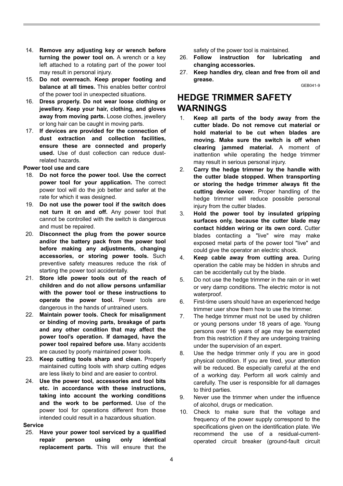- 14. **Remove any adjusting key or wrench before turning the power tool on.** A wrench or a key left attached to a rotating part of the power tool may result in personal injury.
- 15. **Do not overreach. Keep proper footing and balance at all times.** This enables better control of the power tool in unexpected situations.
- 16. **Dress properly. Do not wear loose clothing or jewellery. Keep your hair, clothing, and gloves away from moving parts.** Loose clothes, jewellery or long hair can be caught in moving parts.
- 17. **If devices are provided for the connection of dust extraction and collection facilities, ensure these are connected and properly used.** Use of dust collection can reduce dustrelated hazards.

#### **Power tool use and care**

- 18. **Do not force the power tool. Use the correct power tool for your application.** The correct power tool will do the job better and safer at the rate for which it was designed.
- 19. **Do not use the power tool if the switch does not turn it on and off.** Any power tool that cannot be controlled with the switch is dangerous and must be repaired.
- 20. **Disconnect the plug from the power source and/or the battery pack from the power tool before making any adjustments, changing accessories, or storing power tools.** Such preventive safety measures reduce the risk of starting the power tool accidentally.
- 21. **Store idle power tools out of the reach of children and do not allow persons unfamiliar with the power tool or these instructions to operate the power tool.** Power tools are dangerous in the hands of untrained users.
- 22. **Maintain power tools. Check for misalignment or binding of moving parts, breakage of parts and any other condition that may affect the power tool's operation. If damaged, have the power tool repaired before use.** Many accidents are caused by poorly maintained power tools.
- 23. **Keep cutting tools sharp and clean.** Properly maintained cutting tools with sharp cutting edges are less likely to bind and are easier to control.
- 24. **Use the power tool, accessories and tool bits etc. in accordance with these instructions, taking into account the working conditions and the work to be performed.** Use of the power tool for operations different from those intended could result in a hazardous situation.

#### **Service**

25. **Have your power tool serviced by a qualified repair person using only identical replacement parts.** This will ensure that the safety of the power tool is maintained.

- 26. **Follow instruction for lubricating and changing accessories.**
- 27. **Keep handles dry, clean and free from oil and grease.**  $CED041-9$

## **HEDGE TRIMMER SAFETY WARNINGS**

- 1. **Keep all parts of the body away from the cutter blade. Do not remove cut material or hold material to be cut when blades are moving. Make sure the switch is off when clearing jammed material.** A moment of inattention while operating the hedge trimmer may result in serious personal injury.
- 2. **Carry the hedge trimmer by the handle with the cutter blade stopped. When transporting or storing the hedge trimmer always fit the cutting device cover.** Proper handling of the hedge trimmer will reduce possible personal injury from the cutter blades.
- 3. **Hold the power tool by insulated gripping surfaces only, because the cutter blade may contact hidden wiring or its own cord.** Cutter blades contacting a "live" wire may make exposed metal parts of the power tool "live" and could give the operator an electric shock.
- 4. **Keep cable away from cutting area.** During operation the cable may be hidden in shrubs and can be accidentally cut by the blade.
- 5. Do not use the hedge trimmer in the rain or in wet or very damp conditions. The electric motor is not waterproof.
- 6. First-time users should have an experienced hedge trimmer user show them how to use the trimmer.
- 7. The hedge trimmer must not be used by children or young persons under 18 years of age. Young persons over 16 years of age may be exempted from this restriction if they are undergoing training under the supervision of an expert.
- 8. Use the hedge trimmer only if you are in good physical condition. If you are tired, your attention will be reduced. Be especially careful at the end of a working day. Perform all work calmly and carefully. The user is responsible for all damages to third parties.
- 9. Never use the trimmer when under the influence of alcohol, drugs or medication.
- 10. Check to make sure that the voltage and frequency of the power supply correspond to the specifications given on the identification plate. We recommend the use of a residual-currentoperated circuit breaker (ground-fault circuit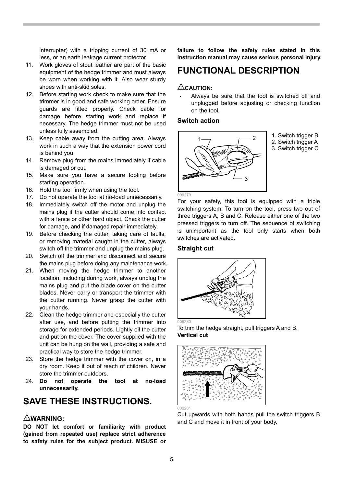interrupter) with a tripping current of 30 mA or less, or an earth leakage current protector.

- 11. Work gloves of stout leather are part of the basic equipment of the hedge trimmer and must always be worn when working with it. Also wear sturdy shoes with anti-skid soles.
- 12. Before starting work check to make sure that the trimmer is in good and safe working order. Ensure guards are fitted properly. Check cable for damage before starting work and replace if necessary. The hedge trimmer must not be used unless fully assembled.
- 13. Keep cable away from the cutting area. Always work in such a way that the extension power cord is behind you.
- 14. Remove plug from the mains immediately if cable is damaged or cut.
- 15. Make sure you have a secure footing before starting operation.
- 16. Hold the tool firmly when using the tool.
- 17. Do not operate the tool at no-load unnecessarily.
- 18. Immediately switch off the motor and unplug the mains plug if the cutter should come into contact with a fence or other hard object. Check the cutter for damage, and if damaged repair immediately.
- 19. Before checking the cutter, taking care of faults, or removing material caught in the cutter, always switch off the trimmer and unplug the mains plug.
- 20. Switch off the trimmer and disconnect and secure the mains plug before doing any maintenance work.
- 21. When moving the hedge trimmer to another location, including during work, always unplug the mains plug and put the blade cover on the cutter blades. Never carry or transport the trimmer with the cutter running. Never grasp the cutter with your hands.
- 22. Clean the hedge trimmer and especially the cutter after use, and before putting the trimmer into storage for extended periods. Lightly oil the cutter and put on the cover. The cover supplied with the unit can be hung on the wall, providing a safe and practical way to store the hedge trimmer.
- 23. Store the hedge trimmer with the cover on, in a dry room. Keep it out of reach of children. Never store the trimmer outdoors.
- 24. **Do not operate the tool at no-load unnecessarily.**

## **SAVE THESE INSTRUCTIONS.**

#### **WARNING:**

**DO NOT let comfort or familiarity with product (gained from repeated use) replace strict adherence to safety rules for the subject product. MISUSE or** 

**failure to follow the safety rules stated in this instruction manual may cause serious personal injury.** 

## **FUNCTIONAL DESCRIPTION**

#### **CAUTION:**

• Always be sure that the tool is switched off and unplugged before adjusting or checking function on the tool.

#### **Switch action**



1. Switch trigger B

- 2. Switch trigger A
- 3. Switch trigger C

For your safety, this tool is equipped with a triple switching system. To turn on the tool, press two out of three triggers A, B and C. Release either one of the two pressed triggers to turn off. The sequence of switching is unimportant as the tool only starts when both switches are activated.

#### **Straight cut**



To trim the hedge straight, pull triggers A and B. **Vertical cut** 



Cut upwards with both hands pull the switch triggers B and C and move it in front of your body.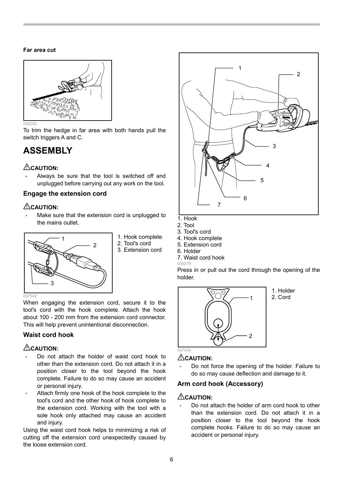#### **Far area cut**



To trim the hedge in far area with both hands pull the switch triggers A and C.

## **ASSEMBLY**

### **CAUTION:**

Always be sure that the tool is switched off and unplugged before carrying out any work on the tool.

#### **Engage the extension cord**

### **CAUTION:**

**Waist cord hook CAUTION:** 

Make sure that the extension cord is unplugged to the mains outlet.

When engaging the extension cord, secure it to the tool's cord with the hook complete. Attach the hook about 100 - 200 mm from the extension cord connector. This will help prevent unintentional disconnection.



- 1. Hook complete
- 2. Tool's cord
- 3. Extension cord
- 5. Extension cord 7. Waist cord hook

3. Tool's cord 4. Hook complete

009278 6. Holder

Press in or pull out the cord through the opening of the holder.



1. Holder 2. Cord

#### **CAUTION:**

• Do not force the opening of the holder. Failure to do so may cause deflection and damage to it.

#### **Arm cord hook (Accessory)**

#### **CAUTION:**

• Do not attach the holder of arm cord hook to other than the extension cord. Do not attach it in a position closer to the tool beyond the hook complete hooks. Failure to do so may cause an accident or personal injury.

#### or personal injury. Attach firmly one hook of the hook complete to the tool's cord and the other hook of hook complete to the extension cord. Working with the tool with a sole hook only attached may cause an accident and injury.

• Do not attach the holder of waist cord hook to other than the extension cord. Do not attach it in a position closer to the tool beyond the hook complete. Failure to do so may cause an accident

Using the waist cord hook helps to minimizing a risk of cutting off the extension cord unexpectedly caused by the loose extension cord.



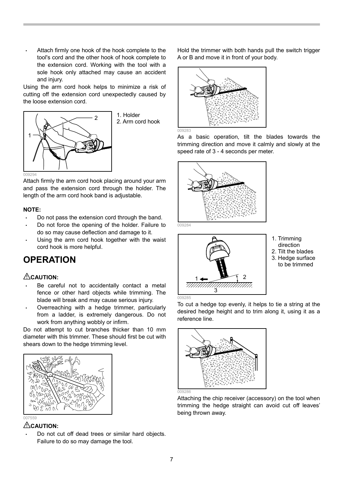Attach firmly one hook of the hook complete to the tool's cord and the other hook of hook complete to the extension cord. Working with the tool with a sole hook only attached may cause an accident and injury.

Using the arm cord hook helps to minimize a risk of cutting off the extension cord unexpectedly caused by the loose extension cord.



Attach firmly the arm cord hook placing around your arm and pass the extension cord through the holder. The length of the arm cord hook band is adjustable.

#### **NOTE:**

- Do not pass the extension cord through the band.
- Do not force the opening of the holder. Failure to do so may cause deflection and damage to it.
- Using the arm cord hook together with the waist cord hook is more helpful.

## **OPERATION**

### **CAUTION:**

- Be careful not to accidentally contact a metal fence or other hard objects while trimming. The blade will break and may cause serious injury.
- Overreaching with a hedge trimmer, particularly from a ladder, is extremely dangerous. Do not work from anything wobbly or infirm.

Do not attempt to cut branches thicker than 10 mm diameter with this trimmer. These should first be cut with shears down to the hedge trimming level.



#### **CAUTION:**

• Do not cut off dead trees or similar hard objects. Failure to do so may damage the tool.

Hold the trimmer with both hands pull the switch trigger A or B and move it in front of your body.



As a basic operation, tilt the blades towards the trimming direction and move it calmly and slowly at the speed rate of 3 - 4 seconds per meter.





- 1. Trimming direction
- 2. Tilt the blades 3. Hedge surface
- to be trimmed

To cut a hedge top evenly, it helps to tie a string at the desired hedge height and to trim along it, using it as a reference line.



Attaching the chip receiver (accessory) on the tool when trimming the hedge straight can avoid cut off leaves' being thrown away.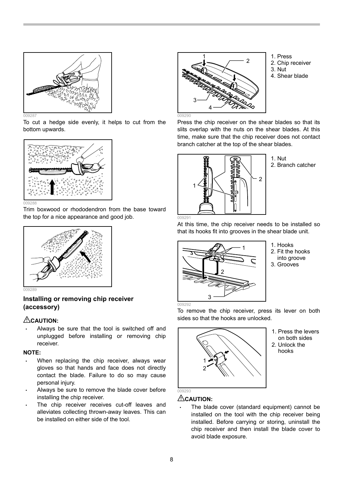

To cut a hedge side evenly, it helps to cut from the bottom upwards.



Trim boxwood or rhododendron from the base toward the top for a nice appearance and good job.



#### **Installing or removing chip receiver (accessory)**

#### **CAUTION:**

Always be sure that the tool is switched off and unplugged before installing or removing chip receiver.

#### **NOTE:**

- When replacing the chip receiver, always wear gloves so that hands and face does not directly contact the blade. Failure to do so may cause personal injury.
- Always be sure to remove the blade cover before installing the chip receiver.
- The chip receiver receives cut-off leaves and alleviates collecting thrown-away leaves. This can be installed on either side of the tool.



- 1. Press
- 2. Chip receiver
- 3. Nut
- 4. Shear blade

Press the chip receiver on the shear blades so that its slits overlap with the nuts on the shear blades. At this time, make sure that the chip receiver does not contact branch catcher at the top of the shear blades.



1. Nut 2. Branch catcher

At this time, the chip receiver needs to be installed so that its hooks fit into grooves in the shear blade unit.



- 1. Hooks 2. Fit the hooks
- into groove
- 3. Grooves

To remove the chip receiver, press its lever on both sides so that the hooks are unlocked.



1. Press the levers on both sides 2. Unlock the hooks

## **CAUTION:**

The blade cover (standard equipment) cannot be installed on the tool with the chip receiver being installed. Before carrying or storing, uninstall the chip receiver and then install the blade cover to avoid blade exposure.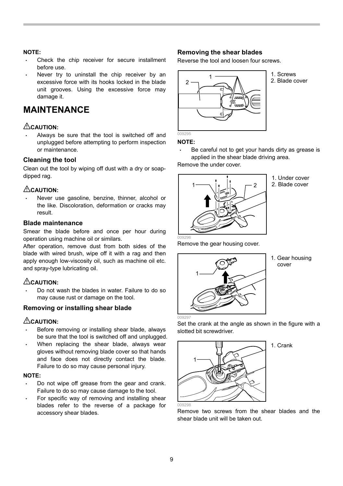#### **NOTE:**

- Check the chip receiver for secure installment before use.
- Never try to uninstall the chip receiver by an excessive force with its hooks locked in the blade unit grooves. Using the excessive force may damage it.

## **MAINTENANCE**

### **CAUTION:**

• Always be sure that the tool is switched off and unplugged before attempting to perform inspection or maintenance.

#### **Cleaning the tool**

Clean out the tool by wiping off dust with a dry or soapdipped rag.

#### **CAUTION:**

Never use gasoline, benzine, thinner, alcohol or the like. Discoloration, deformation or cracks may result.

#### **Blade maintenance**

Smear the blade before and once per hour during operation using machine oil or similars.

After operation, remove dust from both sides of the blade with wired brush, wipe off it with a rag and then apply enough low-viscosity oil, such as machine oil etc. and spray-type lubricating oil.

#### **CAUTION:**

• Do not wash the blades in water. Failure to do so may cause rust or damage on the tool.

#### **Removing or installing shear blade**

#### **CAUTION:**

- Before removing or installing shear blade, always be sure that the tool is switched off and unplugged.
- When replacing the shear blade, always wear gloves without removing blade cover so that hands and face does not directly contact the blade. Failure to do so may cause personal injury.

#### **NOTE:**

- Do not wipe off grease from the gear and crank. Failure to do so may cause damage to the tool.
- For specific way of removing and installing shear blades refer to the reverse of a package for accessory shear blades.

#### **Removing the shear blades**

Reverse the tool and loosen four screws.



1. Screws 2. Blade cover

### **NOTE:**

Be careful not to get your hands dirty as grease is applied in the shear blade driving area.

Remove the under cover.



1. Under cover

2. Blade cover

Remove the gear housing cover.



1. Gear housing cover

1. Crank

Set the crank at the angle as shown in the figure with a slotted bit screwdriver.



Remove two screws from the shear blades and the shear blade unit will be taken out.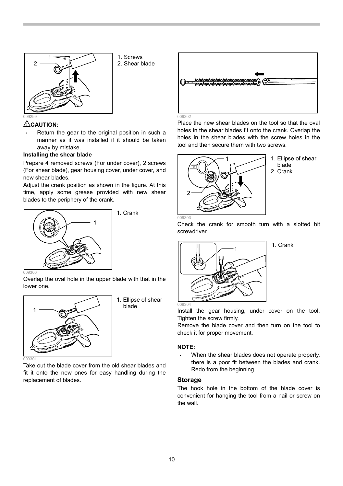

away by mistake. **Installing the shear blade** 

**CAUTION:** 

new shear blades.

1. Screws 2. Shear blade



Place the new shear blades on the tool so that the oval holes in the shear blades fit onto the crank. Overlap the holes in the shear blades with the screw holes in the tool and then secure them with two screws.

Check the crank for smooth turn with a slotted bit



1. Ellipse of shear blade 2. Crank

1  $\begin{picture}(180,10) \put(0,0){\line(1,0){100}} \put(10,0){\line(1,0){100}} \put(10,0){\line(1,0){100}} \put(10,0){\line(1,0){100}} \put(10,0){\line(1,0){100}} \put(10,0){\line(1,0){100}} \put(10,0){\line(1,0){100}} \put(10,0){\line(1,0){100}} \put(10,0){\line(1,0){100}} \put(10,0){\line(1,0){100}} \put(10,0){\line(1,0){100}}$ 1. Crank

blades to the periphery of the crank.

Overlap the oval hole in the upper blade with that in the lower one.

• Return the gear to the original position in such a manner as it was installed if it should be taken

Prepare 4 removed screws (For under cover), 2 screws (For shear blade), gear housing cover, under cover, and

Adjust the crank position as shown in the figure. At this time, apply some grease provided with new shear



1. Ellipse of shear blade

Take out the blade cover from the old shear blades and fit it onto the new ones for easy handling during the replacement of blades.



1. Crank

screwdriver.

Install the gear housing, under cover on the tool. Tighten the screw firmly.

Remove the blade cover and then turn on the tool to check it for proper movement.

#### **NOTE:**

When the shear blades does not operate properly, there is a poor fit between the blades and crank. Redo from the beginning.

#### **Storage**

The hook hole in the bottom of the blade cover is convenient for hanging the tool from a nail or screw on the wall.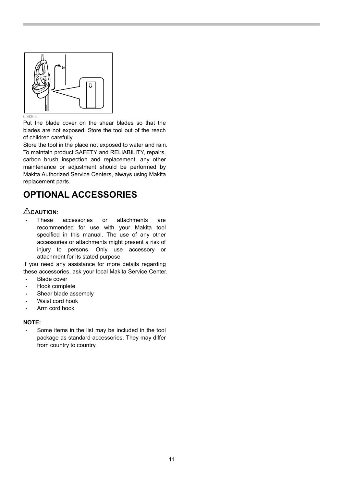

Put the blade cover on the shear blades so that the blades are not exposed. Store the tool out of the reach of children carefully.

Store the tool in the place not exposed to water and rain. To maintain product SAFETY and RELIABILITY, repairs, carbon brush inspection and replacement, any other maintenance or adjustment should be performed by Makita Authorized Service Centers, always using Makita replacement parts.

## **OPTIONAL ACCESSORIES**

#### **CAUTION:**

These accessories or attachments are recommended for use with your Makita tool specified in this manual. The use of any other accessories or attachments might present a risk of injury to persons. Only use accessory or attachment for its stated purpose.

If you need any assistance for more details regarding these accessories, ask your local Makita Service Center.

- Blade cover
- Hook complete
- Shear blade assembly
- Waist cord hook
- Arm cord hook

#### **NOTE:**

Some items in the list may be included in the tool package as standard accessories. They may differ from country to country.